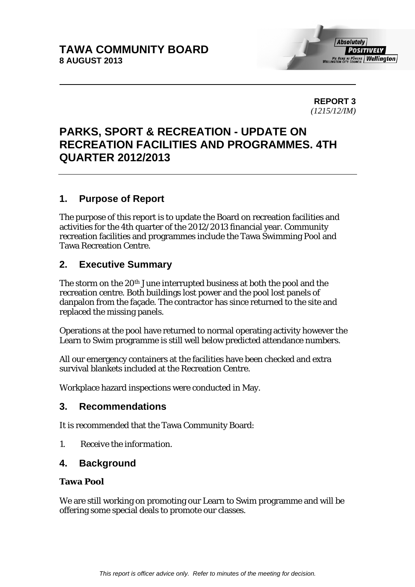**REPORT 3**  *(1215/12/IM)* 

# **PARKS, SPORT & RECREATION - UPDATE ON RECREATION FACILITIES AND PROGRAMMES. 4TH QUARTER 2012/2013**

## **1. Purpose of Report**

The purpose of this report is to update the Board on recreation facilities and activities for the 4th quarter of the 2012/2013 financial year. Community recreation facilities and programmes include the Tawa Swimming Pool and Tawa Recreation Centre.

## **2. Executive Summary**

The storm on the 20<sup>th</sup> June interrupted business at both the pool and the recreation centre. Both buildings lost power and the pool lost panels of danpalon from the façade. The contractor has since returned to the site and replaced the missing panels.

Operations at the pool have returned to normal operating activity however the Learn to Swim programme is still well below predicted attendance numbers.

All our emergency containers at the facilities have been checked and extra survival blankets included at the Recreation Centre.

Workplace hazard inspections were conducted in May.

## **3. Recommendations**

It is recommended that the Tawa Community Board:

*1. Receive the information.* 

## **4. Background**

### **Tawa Pool**

We are still working on promoting our Learn to Swim programme and will be offering some special deals to promote our classes.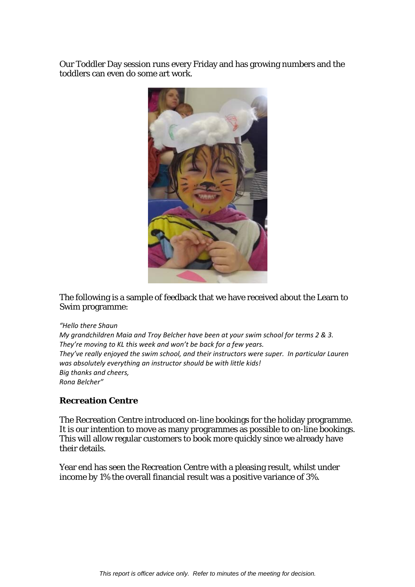Our Toddler Day session runs every Friday and has growing numbers and the toddlers can even do some art work.



The following is a sample of feedback that we have received about the Learn to Swim programme:

#### *"Hello there Shaun*

*My grandchildren Maia and Troy Belcher have been at your swim school for terms 2 & 3. They're moving to KL this week and won't be back for a few years. They've really enjoyed the swim school, and their instructors were super. In particular Lauren was absolutely everything an instructor should be with little kids! Big thanks and cheers, Rona Belcher"*

### **Recreation Centre**

The Recreation Centre introduced on-line bookings for the holiday programme. It is our intention to move as many programmes as possible to on-line bookings. This will allow regular customers to book more quickly since we already have their details.

Year end has seen the Recreation Centre with a pleasing result, whilst under income by 1% the overall financial result was a positive variance of 3%.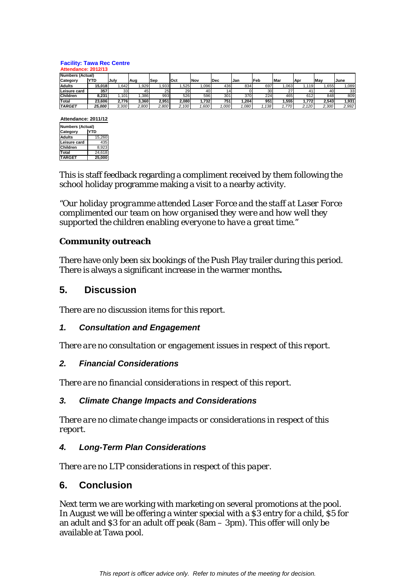#### **Facility: Tawa Rec Centre**

| Attendance: 2012/13     |            |       |       |                 |       |       |       |      |             |      |       |       |       |
|-------------------------|------------|-------|-------|-----------------|-------|-------|-------|------|-------------|------|-------|-------|-------|
| <b>Numbers (Actual)</b> |            |       |       |                 |       |       |       |      |             |      |       |       |       |
| Category                | <b>YTD</b> | July  | Aug   | lSep            | lOct  | Nov   | l Dec | Jan  | <b>IFeb</b> | Mar  | Apr   | May   | June  |
| <b>Adults</b>           | 15,018     | .642  | .929  | .933            | ,525  | ,096  | 436   | 834  | 697         | .063 | 1.119 | .655  | 089   |
| Leisure card            | 357        | 33    | 45    | 25 <sub>l</sub> | 29    | 40    | 141   |      | 30          | 27   | 41    | 40    | 33    |
| <b>Children</b>         | 8.231      | .101  | .386  | 993             | 526   | 596   | 301   | 370  | 224         | 465  | 612   | 848   | 809   |
| Total                   | 23,606     | 2.776 | 3,360 | 2,951           | 2,080 | 1,732 | 751   | .204 | 951         | .555 | 1.772 | 2.543 | 1,931 |
| <b>TARGET</b>           | 25,000     | 3,300 | 2.800 | 2,800           | 2,100 | .600  | ,000  | .080 | .138        | .770 | 2.120 | 2,300 | 2,992 |

**Attendance: 2011/12**

| <b>Numbers (Actual)</b> |            |  |  |  |  |
|-------------------------|------------|--|--|--|--|
| Category                | <b>YTD</b> |  |  |  |  |
| <b>Adults</b>           | 15.260     |  |  |  |  |
| Leisure card            | 435        |  |  |  |  |
| Children                | 8.923      |  |  |  |  |
| Total                   | 24.618     |  |  |  |  |
| <b>TARGET</b>           | 25.000     |  |  |  |  |

This is staff feedback regarding a compliment received by them following the school holiday programme making a visit to a nearby activity.

*"Our holiday programme attended Laser Force and the staff at Laser Force complimented our team on how organised they were and how well they supported the children enabling everyone to have a great time."* 

## **Community outreach**

There have only been six bookings of the Push Play trailer during this period. There is always a significant increase in the warmer months**.** 

## **5. Discussion**

There are no discussion items for this report.

## *1. Consultation and Engagement*

*There are no consultation or engagement issues in respect of this report.* 

### *2. Financial Considerations*

*There are no financial considerations in respect of this report.* 

### *3. Climate Change Impacts and Considerations*

*There are no climate change impacts or considerations in respect of this report.* 

### *4. Long-Term Plan Considerations*

*There are no LTP considerations in respect of this paper.* 

## **6. Conclusion**

Next term we are working with marketing on several promotions at the pool. In August we will be offering a winter special with a \$3 entry for a child, \$5 for an adult and \$3 for an adult off peak (8am – 3pm). This offer will only be available at Tawa pool.